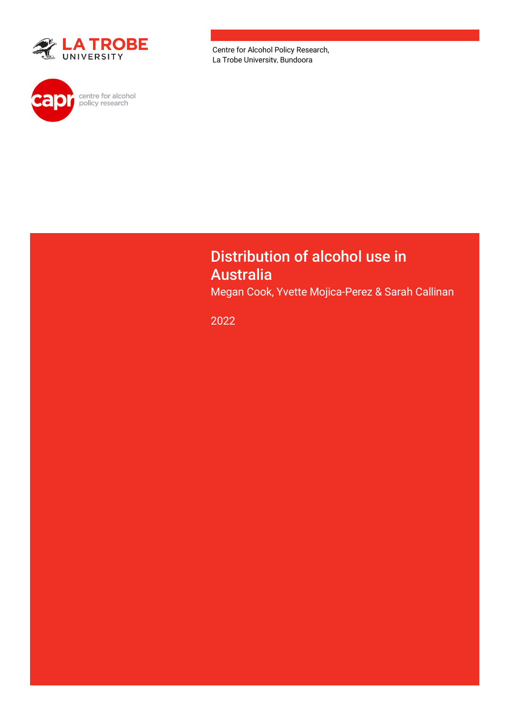



Centre for Alcohol Policy Research, La Trobe University, Bundoora

### Distribution of alcohol use in Australia

Megan Cook, Yvette Mojica-Perez & Sarah Callinan

2022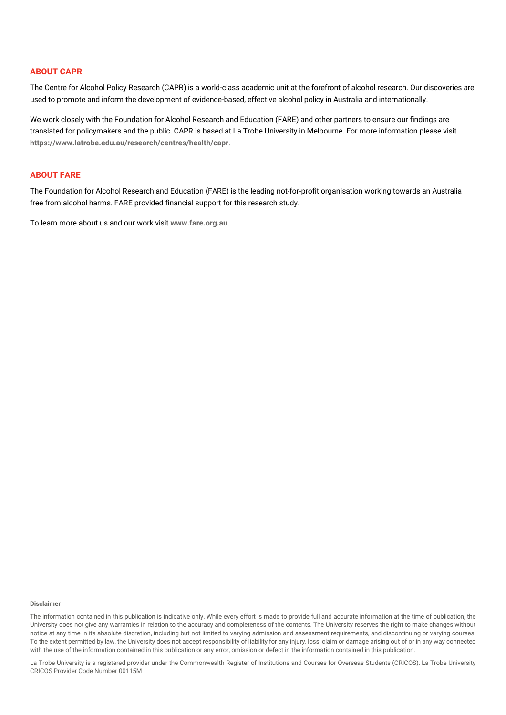#### **ABOUT CAPR**

The Centre for Alcohol Policy Research (CAPR) is a world-class academic unit at the forefront of alcohol research. Our discoveries are used to promote and inform the development of evidence-based, effective alcohol policy in Australia and internationally.

We work closely with the Foundation for Alcohol Research and Education (FARE) and other partners to ensure our findings are translated for policymakers and the public. CAPR is based at La Trobe University in Melbourne. For more information please visit **<https://www.latrobe.edu.au/research/centres/health/capr>**.

#### **ABOUT FARE**

The Foundation for Alcohol Research and Education (FARE) is the leading not-for-profit organisation working towards an Australia free from alcohol harms. FARE provided financial support for this research study.

To learn more about us and our work visit **[www.fare.org.au](http://www.fare.org.au/)**.

#### **Disclaimer**

The information contained in this publication is indicative only. While every effort is made to provide full and accurate information at the time of publication, the University does not give any warranties in relation to the accuracy and completeness of the contents. The University reserves the right to make changes without notice at any time in its absolute discretion, including but not limited to varying admission and assessment requirements, and discontinuing or varying courses. To the extent permitted by law, the University does not accept responsibility of liability for any injury, loss, claim or damage arising out of or in any way connected with the use of the information contained in this publication or any error, omission or defect in the information contained in this publication.

La Trobe University is a registered provider under the Commonwealth Register of Institutions and Courses for Overseas Students (CRICOS). La Trobe University CRICOS Provider Code Number 00115M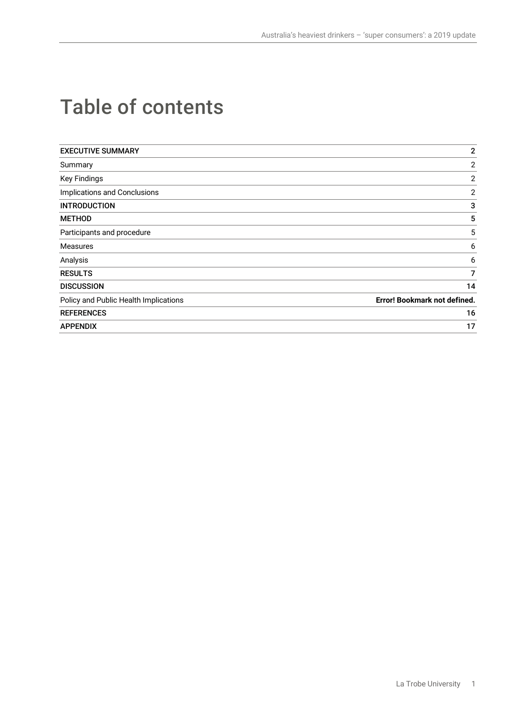# Table of contents

| <b>EXECUTIVE SUMMARY</b>              | $\mathbf{2}$                        |
|---------------------------------------|-------------------------------------|
| Summary                               | 2                                   |
| <b>Key Findings</b>                   | 2                                   |
| Implications and Conclusions          | $\mathbf{2}$                        |
| <b>INTRODUCTION</b>                   | 3                                   |
| <b>METHOD</b>                         | 5                                   |
| Participants and procedure            | 5                                   |
| Measures                              | 6                                   |
| Analysis                              | 6                                   |
| <b>RESULTS</b>                        | 7                                   |
| <b>DISCUSSION</b>                     | 14                                  |
| Policy and Public Health Implications | <b>Error! Bookmark not defined.</b> |
| <b>REFERENCES</b>                     | 16                                  |
| <b>APPENDIX</b>                       | 17                                  |
|                                       |                                     |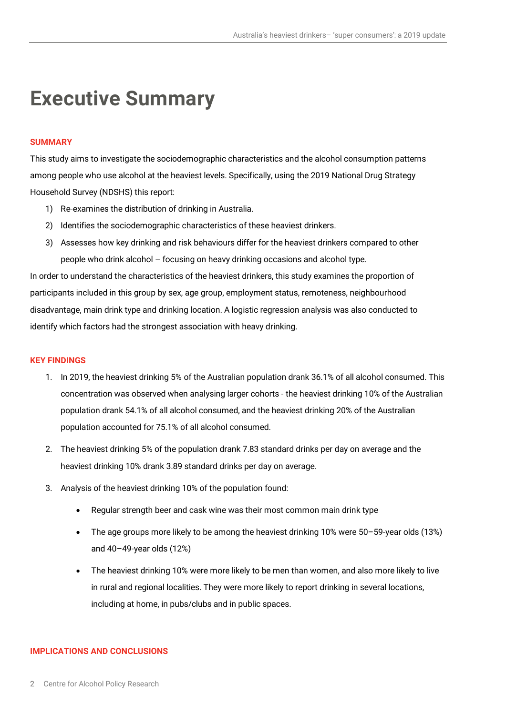### **Executive Summary**

#### **SUMMARY**

This study aims to investigate the sociodemographic characteristics and the alcohol consumption patterns among people who use alcohol at the heaviest levels. Specifically, using the 2019 National Drug Strategy Household Survey (NDSHS) this report:

- 1) Re-examines the distribution of drinking in Australia.
- 2) Identifies the sociodemographic characteristics of these heaviest drinkers.
- 3) Assesses how key drinking and risk behaviours differ for the heaviest drinkers compared to other people who drink alcohol – focusing on heavy drinking occasions and alcohol type.

In order to understand the characteristics of the heaviest drinkers, this study examines the proportion of participants included in this group by sex, age group, employment status, remoteness, neighbourhood disadvantage, main drink type and drinking location. A logistic regression analysis was also conducted to identify which factors had the strongest association with heavy drinking.

#### **KEY FINDINGS**

- 1. In 2019, the heaviest drinking 5% of the Australian population drank 36.1% of all alcohol consumed. This concentration was observed when analysing larger cohorts - the heaviest drinking 10% of the Australian population drank 54.1% of all alcohol consumed, and the heaviest drinking 20% of the Australian population accounted for 75.1% of all alcohol consumed.
- 2. The heaviest drinking 5% of the population drank 7.83 standard drinks per day on average and the heaviest drinking 10% drank 3.89 standard drinks per day on average.
- 3. Analysis of the heaviest drinking 10% of the population found:
	- Regular strength beer and cask wine was their most common main drink type
	- The age groups more likely to be among the heaviest drinking 10% were 50–59-year olds (13%) and 40–49-year olds (12%)
	- The heaviest drinking 10% were more likely to be men than women, and also more likely to live in rural and regional localities. They were more likely to report drinking in several locations, including at home, in pubs/clubs and in public spaces.

#### **IMPLICATIONS AND CONCLUSIONS**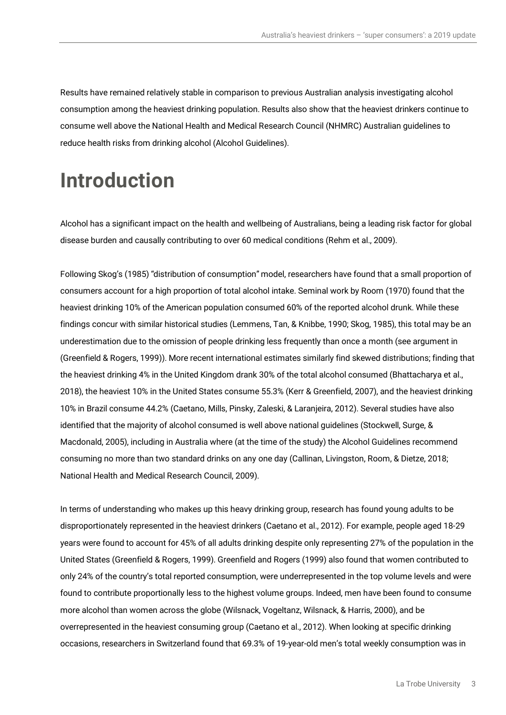Results have remained relatively stable in comparison to previous Australian analysis investigating alcohol consumption among the heaviest drinking population. Results also show that the heaviest drinkers continue to consume well above the National Health and Medical Research Council (NHMRC) Australian guidelines to reduce health risks from drinking alcohol (Alcohol Guidelines).

# **Introduction**

Alcohol has a significant impact on the health and wellbeing of Australians, being a leading risk factor for global disease burden and causally contributing to over 60 medical conditions (Rehm et al., 2009).

Following Skog's (1985) "distribution of consumption" model, researchers have found that a small proportion of consumers account for a high proportion of total alcohol intake. Seminal work by Room (1970) found that the heaviest drinking 10% of the American population consumed 60% of the reported alcohol drunk. While these findings concur with similar historical studies (Lemmens, Tan, & Knibbe, 1990; Skog, 1985), this total may be an underestimation due to the omission of people drinking less frequently than once a month (see argument in (Greenfield & Rogers, 1999)). More recent international estimates similarly find skewed distributions; finding that the heaviest drinking 4% in the United Kingdom drank 30% of the total alcohol consumed (Bhattacharya et al., 2018), the heaviest 10% in the United States consume 55.3% (Kerr & Greenfield, 2007), and the heaviest drinking 10% in Brazil consume 44.2% (Caetano, Mills, Pinsky, Zaleski, & Laranjeira, 2012). Several studies have also identified that the majority of alcohol consumed is well above national guidelines (Stockwell, Surge, & Macdonald, 2005), including in Australia where (at the time of the study) the Alcohol Guidelines recommend consuming no more than two standard drinks on any one day (Callinan, Livingston, Room, & Dietze, 2018; National Health and Medical Research Council, 2009).

In terms of understanding who makes up this heavy drinking group, research has found young adults to be disproportionately represented in the heaviest drinkers (Caetano et al., 2012). For example, people aged 18-29 years were found to account for 45% of all adults drinking despite only representing 27% of the population in the United States (Greenfield & Rogers, 1999). Greenfield and Rogers (1999) also found that women contributed to only 24% of the country's total reported consumption, were underrepresented in the top volume levels and were found to contribute proportionally less to the highest volume groups. Indeed, men have been found to consume more alcohol than women across the globe (Wilsnack, Vogeltanz, Wilsnack, & Harris, 2000), and be overrepresented in the heaviest consuming group (Caetano et al., 2012). When looking at specific drinking occasions, researchers in Switzerland found that 69.3% of 19-year-old men's total weekly consumption was in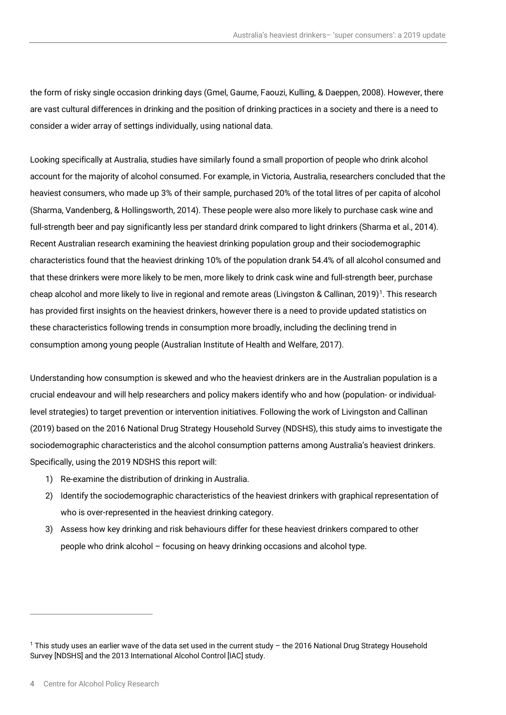the form of risky single occasion drinking days (Gmel, Gaume, Faouzi, Kulling, & Daeppen, 2008). However, there are vast cultural differences in drinking and the position of drinking practices in a society and there is a need to consider a wider array of settings individually, using national data.

Looking specifically at Australia, studies have similarly found a small proportion of people who drink alcohol account for the majority of alcohol consumed. For example, in Victoria, Australia, researchers concluded that the heaviest consumers, who made up 3% of their sample, purchased 20% of the total litres of per capita of alcohol (Sharma, Vandenberg, & Hollingsworth, 2014). These people were also more likely to purchase cask wine and full-strength beer and pay significantly less per standard drink compared to light drinkers (Sharma et al., 2014). Recent Australian research examining the heaviest drinking population group and their sociodemographic characteristics found that the heaviest drinking 10% of the population drank 54.4% of all alcohol consumed and that these drinkers were more likely to be men, more likely to drink cask wine and full-strength beer, purchase cheap alcohol and more likely to live in regional and remote areas (Livingston & Callinan, 20[1](#page-6-0)9)<sup>1</sup>. This research has provided first insights on the heaviest drinkers, however there is a need to provide updated statistics on these characteristics following trends in consumption more broadly, including the declining trend in consumption among young people (Australian Institute of Health and Welfare, 2017).

Understanding how consumption is skewed and who the heaviest drinkers are in the Australian population is a crucial endeavour and will help researchers and policy makers identify who and how (population- or individuallevel strategies) to target prevention or intervention initiatives. Following the work of Livingston and Callinan (2019) based on the 2016 National Drug Strategy Household Survey (NDSHS), this study aims to investigate the sociodemographic characteristics and the alcohol consumption patterns among Australia's heaviest drinkers. Specifically, using the 2019 NDSHS this report will:

- 1) Re-examine the distribution of drinking in Australia.
- 2) Identify the sociodemographic characteristics of the heaviest drinkers with graphical representation of who is over-represented in the heaviest drinking category.
- 3) Assess how key drinking and risk behaviours differ for these heaviest drinkers compared to other people who drink alcohol – focusing on heavy drinking occasions and alcohol type.

<span id="page-6-0"></span> $1$  This study uses an earlier wave of the data set used in the current study – the 2016 National Drug Strategy Household Survey [NDSHS] and the 2013 International Alcohol Control [IAC] study.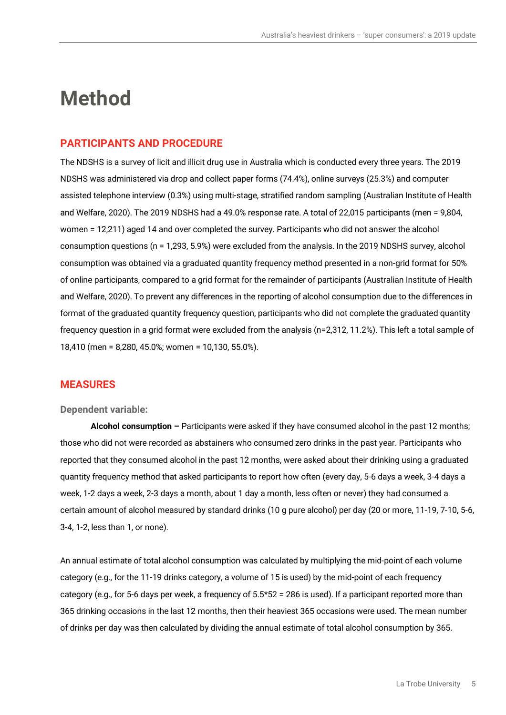### **Method**

#### **PARTICIPANTS AND PROCEDURE**

The NDSHS is a survey of licit and illicit drug use in Australia which is conducted every three years. The 2019 NDSHS was administered via drop and collect paper forms (74.4%), online surveys (25.3%) and computer assisted telephone interview (0.3%) using multi-stage, stratified random sampling (Australian Institute of Health and Welfare, 2020). The 2019 NDSHS had a 49.0% response rate. A total of 22,015 participants (men = 9,804, women = 12,211) aged 14 and over completed the survey. Participants who did not answer the alcohol consumption questions (n = 1,293, 5.9%) were excluded from the analysis. In the 2019 NDSHS survey, alcohol consumption was obtained via a graduated quantity frequency method presented in a non-grid format for 50% of online participants, compared to a grid format for the remainder of participants (Australian Institute of Health and Welfare, 2020). To prevent any differences in the reporting of alcohol consumption due to the differences in format of the graduated quantity frequency question, participants who did not complete the graduated quantity frequency question in a grid format were excluded from the analysis (n=2,312, 11.2%). This left a total sample of 18,410 (men = 8,280, 45.0%; women = 10,130, 55.0%).

#### **MEASURES**

#### **Dependent variable:**

**Alcohol consumption –** Participants were asked if they have consumed alcohol in the past 12 months; those who did not were recorded as abstainers who consumed zero drinks in the past year. Participants who reported that they consumed alcohol in the past 12 months, were asked about their drinking using a graduated quantity frequency method that asked participants to report how often (every day, 5-6 days a week, 3-4 days a week, 1-2 days a week, 2-3 days a month, about 1 day a month, less often or never) they had consumed a certain amount of alcohol measured by standard drinks (10 g pure alcohol) per day (20 or more, 11-19, 7-10, 5-6, 3-4, 1-2, less than 1, or none).

An annual estimate of total alcohol consumption was calculated by multiplying the mid-point of each volume category (e.g., for the 11-19 drinks category, a volume of 15 is used) by the mid-point of each frequency category (e.g., for 5-6 days per week, a frequency of 5.5\*52 = 286 is used). If a participant reported more than 365 drinking occasions in the last 12 months, then their heaviest 365 occasions were used. The mean number of drinks per day was then calculated by dividing the annual estimate of total alcohol consumption by 365.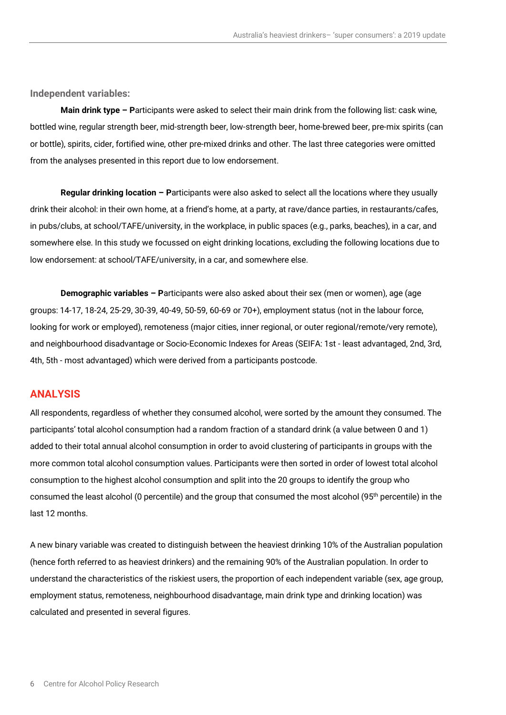**Independent variables:**

**Main drink type – P**articipants were asked to select their main drink from the following list: cask wine, bottled wine, regular strength beer, mid-strength beer, low-strength beer, home-brewed beer, pre-mix spirits (can or bottle), spirits, cider, fortified wine, other pre-mixed drinks and other. The last three categories were omitted from the analyses presented in this report due to low endorsement.

**Regular drinking location – P**articipants were also asked to select all the locations where they usually drink their alcohol: in their own home, at a friend's home, at a party, at rave/dance parties, in restaurants/cafes, in pubs/clubs, at school/TAFE/university, in the workplace, in public spaces (e.g., parks, beaches), in a car, and somewhere else. In this study we focussed on eight drinking locations, excluding the following locations due to low endorsement: at school/TAFE/university, in a car, and somewhere else.

**Demographic variables – P**articipants were also asked about their sex (men or women), age (age groups: 14-17, 18-24, 25-29, 30-39, 40-49, 50-59, 60-69 or 70+), employment status (not in the labour force, looking for work or employed), remoteness (major cities, inner regional, or outer regional/remote/very remote), and neighbourhood disadvantage or Socio-Economic Indexes for Areas (SEIFA: 1st - least advantaged, 2nd, 3rd, 4th, 5th - most advantaged) which were derived from a participants postcode.

#### **ANALYSIS**

All respondents, regardless of whether they consumed alcohol, were sorted by the amount they consumed. The participants' total alcohol consumption had a random fraction of a standard drink (a value between 0 and 1) added to their total annual alcohol consumption in order to avoid clustering of participants in groups with the more common total alcohol consumption values. Participants were then sorted in order of lowest total alcohol consumption to the highest alcohol consumption and split into the 20 groups to identify the group who consumed the least alcohol (0 percentile) and the group that consumed the most alcohol (95<sup>th</sup> percentile) in the last 12 months.

A new binary variable was created to distinguish between the heaviest drinking 10% of the Australian population (hence forth referred to as heaviest drinkers) and the remaining 90% of the Australian population. In order to understand the characteristics of the riskiest users, the proportion of each independent variable (sex, age group, employment status, remoteness, neighbourhood disadvantage, main drink type and drinking location) was calculated and presented in several figures.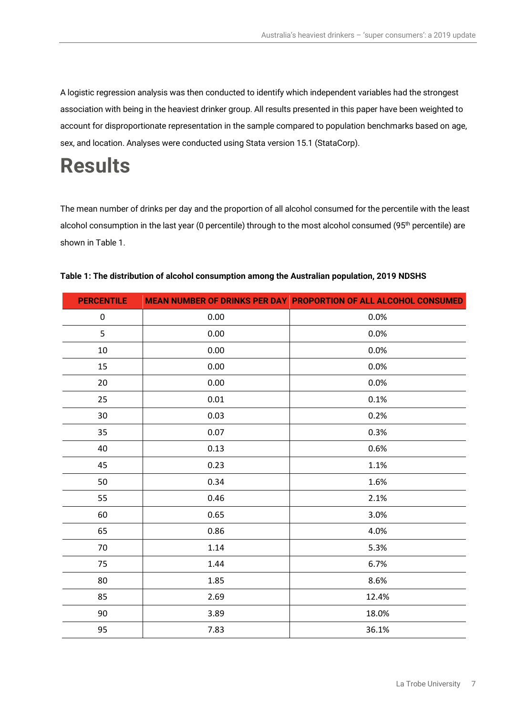A logistic regression analysis was then conducted to identify which independent variables had the strongest association with being in the heaviest drinker group. All results presented in this paper have been weighted to account for disproportionate representation in the sample compared to population benchmarks based on age, sex, and location. Analyses were conducted using Stata version 15.1 (StataCorp).

## **Results**

The mean number of drinks per day and the proportion of all alcohol consumed for the percentile with the least alcohol consumption in the last year (0 percentile) through to the most alcohol consumed (95<sup>th</sup> percentile) are shown in Table 1.

| <b>PERCENTILE</b> |      | MEAN NUMBER OF DRINKS PER DAY PROPORTION OF ALL ALCOHOL CONSUMED |
|-------------------|------|------------------------------------------------------------------|
| $\pmb{0}$         | 0.00 | 0.0%                                                             |
| 5                 | 0.00 | 0.0%                                                             |
| 10                | 0.00 | 0.0%                                                             |
| 15                | 0.00 | 0.0%                                                             |
| 20                | 0.00 | 0.0%                                                             |
| 25                | 0.01 | 0.1%                                                             |
| 30                | 0.03 | 0.2%                                                             |
| 35                | 0.07 | 0.3%                                                             |
| 40                | 0.13 | 0.6%                                                             |
| 45                | 0.23 | 1.1%                                                             |
| 50                | 0.34 | 1.6%                                                             |
| 55                | 0.46 | 2.1%                                                             |
| 60                | 0.65 | 3.0%                                                             |
| 65                | 0.86 | 4.0%                                                             |
| 70                | 1.14 | 5.3%                                                             |
| 75                | 1.44 | 6.7%                                                             |
| 80                | 1.85 | 8.6%                                                             |
| 85                | 2.69 | 12.4%                                                            |
| 90                | 3.89 | 18.0%                                                            |
| 95                | 7.83 | 36.1%                                                            |

#### **Table 1: The distribution of alcohol consumption among the Australian population, 2019 NDSHS**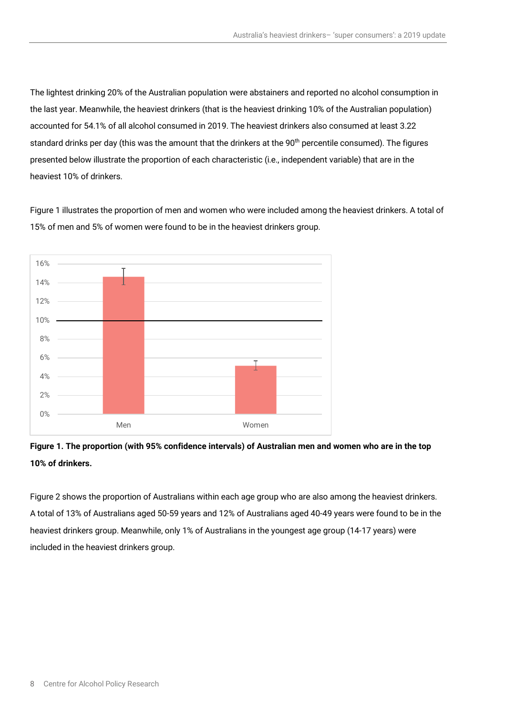The lightest drinking 20% of the Australian population were abstainers and reported no alcohol consumption in the last year. Meanwhile, the heaviest drinkers (that is the heaviest drinking 10% of the Australian population) accounted for 54.1% of all alcohol consumed in 2019. The heaviest drinkers also consumed at least 3.22 standard drinks per day (this was the amount that the drinkers at the 90<sup>th</sup> percentile consumed). The figures presented below illustrate the proportion of each characteristic (i.e., independent variable) that are in the heaviest 10% of drinkers.

Figure 1 illustrates the proportion of men and women who were included among the heaviest drinkers. A total of 15% of men and 5% of women were found to be in the heaviest drinkers group.



**Figure 1. The proportion (with 95% confidence intervals) of Australian men and women who are in the top 10% of drinkers.**

Figure 2 shows the proportion of Australians within each age group who are also among the heaviest drinkers. A total of 13% of Australians aged 50-59 years and 12% of Australians aged 40-49 years were found to be in the heaviest drinkers group. Meanwhile, only 1% of Australians in the youngest age group (14-17 years) were included in the heaviest drinkers group.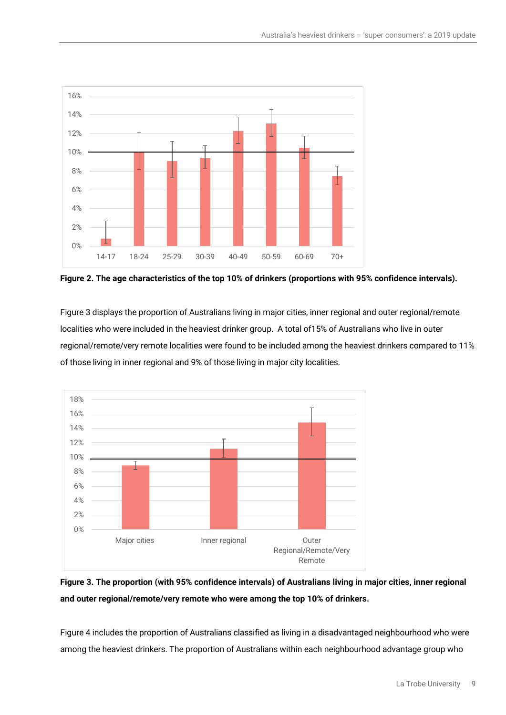

**Figure 2. The age characteristics of the top 10% of drinkers (proportions with 95% confidence intervals).** 

Figure 3 displays the proportion of Australians living in major cities, inner regional and outer regional/remote localities who were included in the heaviest drinker group. A total of15% of Australians who live in outer regional/remote/very remote localities were found to be included among the heaviest drinkers compared to 11% of those living in inner regional and 9% of those living in major city localities.



### **Figure 3. The proportion (with 95% confidence intervals) of Australians living in major cities, inner regional and outer regional/remote/very remote who were among the top 10% of drinkers.**

Figure 4 includes the proportion of Australians classified as living in a disadvantaged neighbourhood who were among the heaviest drinkers. The proportion of Australians within each neighbourhood advantage group who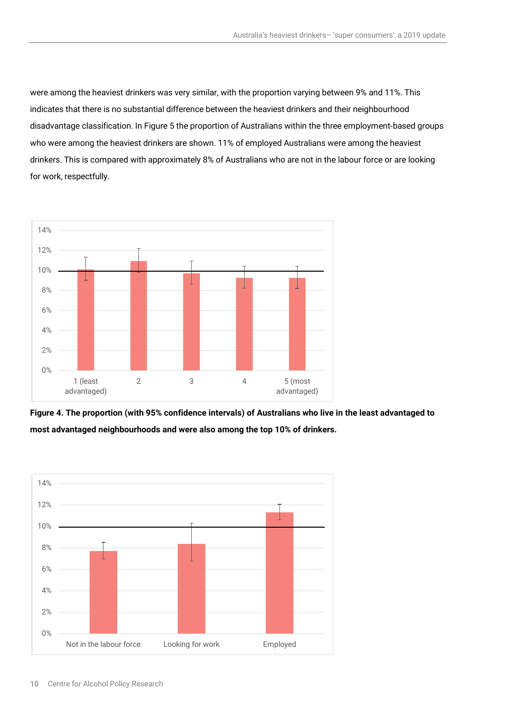were among the heaviest drinkers was very similar, with the proportion varying between 9% and 11%. This indicates that there is no substantial difference between the heaviest drinkers and their neighbourhood disadvantage classification. In Figure 5 the proportion of Australians within the three employment-based groups who were among the heaviest drinkers are shown. 11% of employed Australians were among the heaviest drinkers. This is compared with approximately 8% of Australians who are not in the labour force or are looking for work, respectfully.





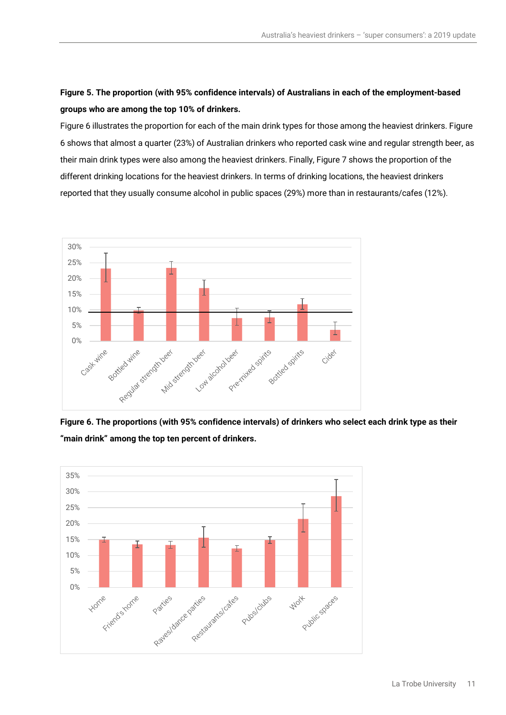### **Figure 5. The proportion (with 95% confidence intervals) of Australians in each of the employment-based groups who are among the top 10% of drinkers.**

Figure 6 illustrates the proportion for each of the main drink types for those among the heaviest drinkers. Figure 6 shows that almost a quarter (23%) of Australian drinkers who reported cask wine and regular strength beer, as their main drink types were also among the heaviest drinkers. Finally, Figure 7 shows the proportion of the different drinking locations for the heaviest drinkers. In terms of drinking locations, the heaviest drinkers reported that they usually consume alcohol in public spaces (29%) more than in restaurants/cafes (12%).



**Figure 6. The proportions (with 95% confidence intervals) of drinkers who select each drink type as their "main drink" among the top ten percent of drinkers.** 

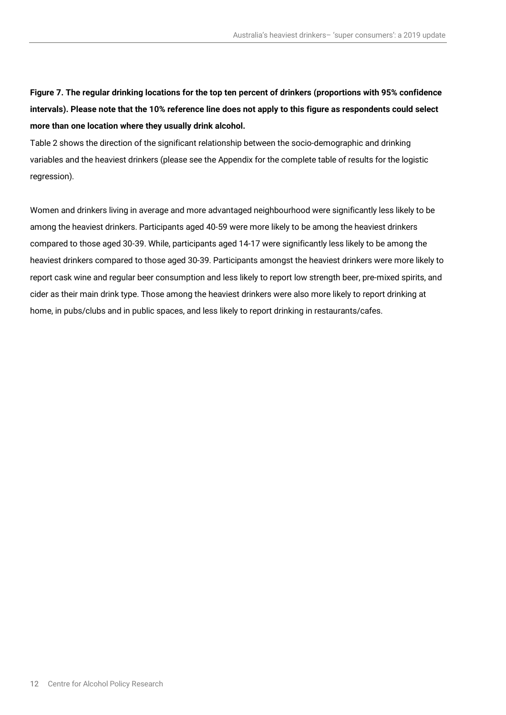**Figure 7. The regular drinking locations for the top ten percent of drinkers (proportions with 95% confidence intervals). Please note that the 10% reference line does not apply to this figure as respondents could select more than one location where they usually drink alcohol.** 

Table 2 shows the direction of the significant relationship between the socio-demographic and drinking variables and the heaviest drinkers (please see the Appendix for the complete table of results for the logistic regression).

Women and drinkers living in average and more advantaged neighbourhood were significantly less likely to be among the heaviest drinkers. Participants aged 40-59 were more likely to be among the heaviest drinkers compared to those aged 30-39. While, participants aged 14-17 were significantly less likely to be among the heaviest drinkers compared to those aged 30-39. Participants amongst the heaviest drinkers were more likely to report cask wine and regular beer consumption and less likely to report low strength beer, pre-mixed spirits, and cider as their main drink type. Those among the heaviest drinkers were also more likely to report drinking at home, in pubs/clubs and in public spaces, and less likely to report drinking in restaurants/cafes.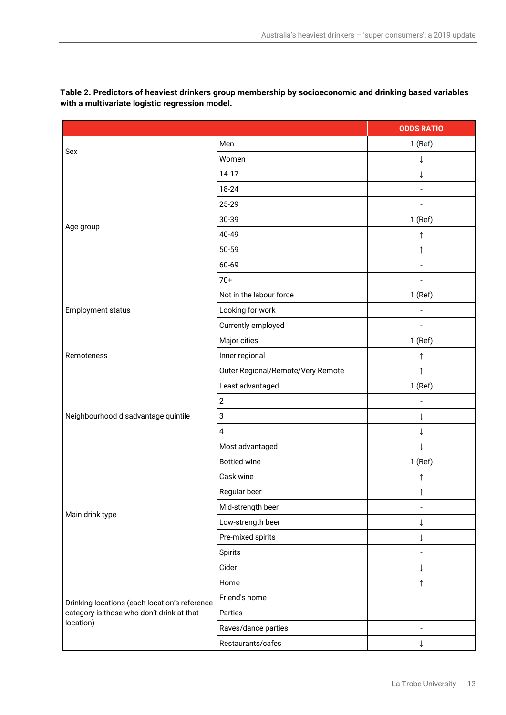|                                               |                                   | <b>ODDS RATIO</b> |
|-----------------------------------------------|-----------------------------------|-------------------|
|                                               | Men                               | $1$ (Ref)         |
| Sex                                           | Women                             |                   |
|                                               | 14-17                             | $\downarrow$      |
|                                               | 18-24                             |                   |
|                                               | 25-29                             |                   |
|                                               | 30-39                             | $1$ (Ref)         |
| Age group                                     | 40-49                             | $\uparrow$        |
|                                               | 50-59                             | $\uparrow$        |
|                                               | 60-69                             | $\overline{a}$    |
|                                               | $70+$                             |                   |
|                                               | Not in the labour force           | $1$ (Ref)         |
| Employment status                             | Looking for work                  |                   |
|                                               | Currently employed                | $\overline{a}$    |
|                                               | Major cities                      | $1$ (Ref)         |
| Remoteness                                    | Inner regional                    | $\uparrow$        |
|                                               | Outer Regional/Remote/Very Remote | ↑                 |
|                                               | Least advantaged                  | 1 (Ref)           |
|                                               | $\overline{2}$                    |                   |
| Neighbourhood disadvantage quintile           | 3                                 | ↓                 |
|                                               | 4                                 |                   |
|                                               | Most advantaged                   | ↓                 |
|                                               | <b>Bottled wine</b>               | $1$ (Ref)         |
|                                               | Cask wine                         | $\uparrow$        |
| Main drink type                               | Regular beer                      | ↑                 |
|                                               | Mid-strength beer                 |                   |
|                                               | Low-strength beer                 |                   |
|                                               | Pre-mixed spirits                 | ↓                 |
|                                               | Spirits                           |                   |
|                                               | Cider                             |                   |
|                                               | Home                              | $\uparrow$        |
| Drinking locations (each location's reference | Friend's home                     |                   |
| category is those who don't drink at that     | Parties                           | $\overline{a}$    |
| location)                                     | Raves/dance parties               |                   |
|                                               | Restaurants/cafes                 | ↓                 |

**Table 2. Predictors of heaviest drinkers group membership by socioeconomic and drinking based variables with a multivariate logistic regression model.**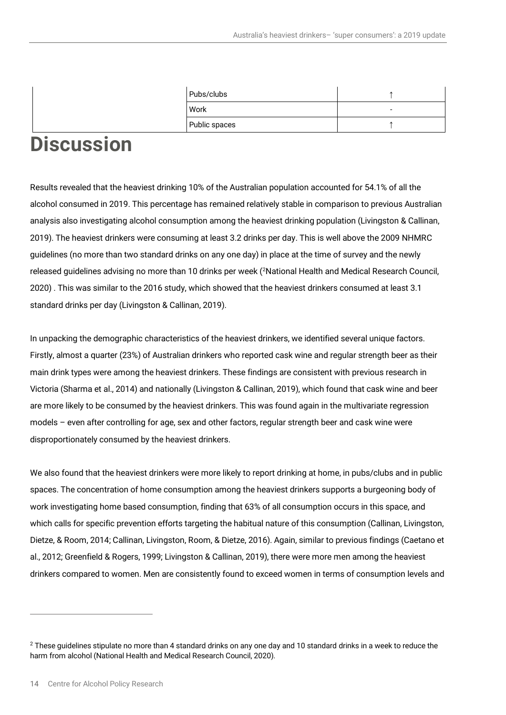|      | Pubs/clubs    |  |
|------|---------------|--|
| Work |               |  |
|      | Public spaces |  |
| --   |               |  |

### **Discussion**

Results revealed that the heaviest drinking 10% of the Australian population accounted for 54.1% of all the alcohol consumed in 2019. This percentage has remained relatively stable in comparison to previous Australian analysis also investigating alcohol consumption among the heaviest drinking population (Livingston & Callinan, 2019). The heaviest drinkers were consuming at least 3.2 drinks per day. This is well above the 2009 NHMRC guidelines (no more than two standard drinks on any one day) in place at the time of survey and the newly released guidelines advising no more than 10 drinks per week (<sup>[2](#page-16-0)</sup>National Health and Medical Research Council, 2020) . This was similar to the 2016 study, which showed that the heaviest drinkers consumed at least 3.1 standard drinks per day (Livingston & Callinan, 2019).

In unpacking the demographic characteristics of the heaviest drinkers, we identified several unique factors. Firstly, almost a quarter (23%) of Australian drinkers who reported cask wine and regular strength beer as their main drink types were among the heaviest drinkers. These findings are consistent with previous research in Victoria (Sharma et al., 2014) and nationally (Livingston & Callinan, 2019), which found that cask wine and beer are more likely to be consumed by the heaviest drinkers. This was found again in the multivariate regression models – even after controlling for age, sex and other factors, regular strength beer and cask wine were disproportionately consumed by the heaviest drinkers.

We also found that the heaviest drinkers were more likely to report drinking at home, in pubs/clubs and in public spaces. The concentration of home consumption among the heaviest drinkers supports a burgeoning body of work investigating home based consumption, finding that 63% of all consumption occurs in this space, and which calls for specific prevention efforts targeting the habitual nature of this consumption (Callinan, Livingston, Dietze, & Room, 2014; Callinan, Livingston, Room, & Dietze, 2016). Again, similar to previous findings (Caetano et al., 2012; Greenfield & Rogers, 1999; Livingston & Callinan, 2019), there were more men among the heaviest drinkers compared to women. Men are consistently found to exceed women in terms of consumption levels and

<span id="page-16-0"></span> $2$  These guidelines stipulate no more than 4 standard drinks on any one day and 10 standard drinks in a week to reduce the harm from alcohol (National Health and Medical Research Council, 2020).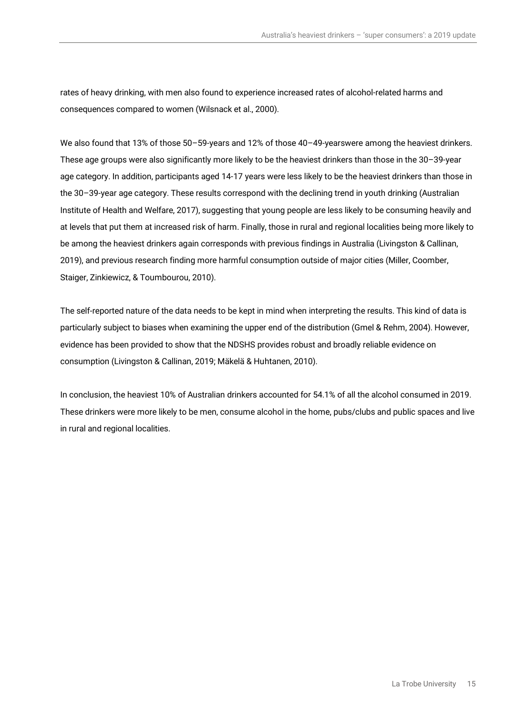rates of heavy drinking, with men also found to experience increased rates of alcohol-related harms and consequences compared to women (Wilsnack et al., 2000).

We also found that 13% of those 50–59-years and 12% of those 40–49-yearswere among the heaviest drinkers. These age groups were also significantly more likely to be the heaviest drinkers than those in the 30–39-year age category. In addition, participants aged 14-17 years were less likely to be the heaviest drinkers than those in the 30–39-year age category. These results correspond with the declining trend in youth drinking (Australian Institute of Health and Welfare, 2017), suggesting that young people are less likely to be consuming heavily and at levels that put them at increased risk of harm. Finally, those in rural and regional localities being more likely to be among the heaviest drinkers again corresponds with previous findings in Australia (Livingston & Callinan, 2019), and previous research finding more harmful consumption outside of major cities (Miller, Coomber, Staiger, Zinkiewicz, & Toumbourou, 2010).

The self-reported nature of the data needs to be kept in mind when interpreting the results. This kind of data is particularly subject to biases when examining the upper end of the distribution (Gmel & Rehm, 2004). However, evidence has been provided to show that the NDSHS provides robust and broadly reliable evidence on consumption (Livingston & Callinan, 2019; Mäkelä & Huhtanen, 2010).

In conclusion, the heaviest 10% of Australian drinkers accounted for 54.1% of all the alcohol consumed in 2019. These drinkers were more likely to be men, consume alcohol in the home, pubs/clubs and public spaces and live in rural and regional localities.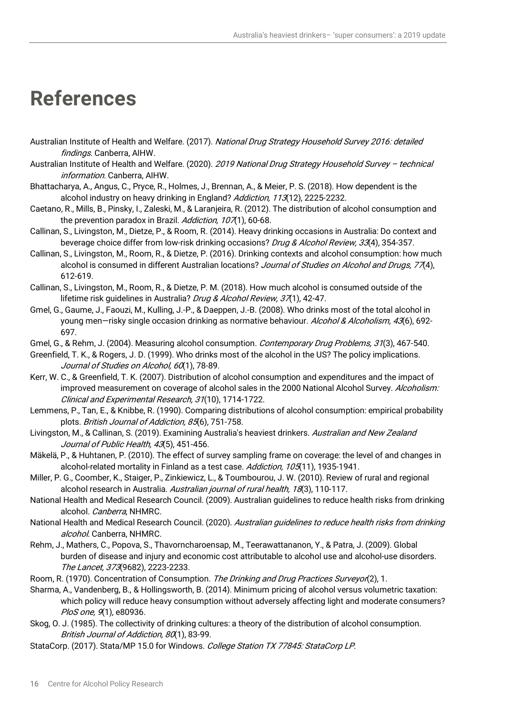## **References**

- Australian Institute of Health and Welfare. (2017). National Drug Strategy Household Survey 2016: detailed findings. Canberra, AIHW.
- Australian Institute of Health and Welfare. (2020). 2019 National Drug Strategy Household Survey technical information. Canberra, AIHW.
- Bhattacharya, A., Angus, C., Pryce, R., Holmes, J., Brennan, A., & Meier, P. S. (2018). How dependent is the alcohol industry on heavy drinking in England? Addiction, 113(12), 2225-2232.
- Caetano, R., Mills, B., Pinsky, I., Zaleski, M., & Laranjeira, R. (2012). The distribution of alcohol consumption and the prevention paradox in Brazil. Addiction, 107(1), 60-68.
- Callinan, S., Livingston, M., Dietze, P., & Room, R. (2014). Heavy drinking occasions in Australia: Do context and beverage choice differ from low-risk drinking occasions? Drug & Alcohol Review, 33(4), 354-357.
- Callinan, S., Livingston, M., Room, R., & Dietze, P. (2016). Drinking contexts and alcohol consumption: how much alcohol is consumed in different Australian locations? Journal of Studies on Alcohol and Drugs, 77(4), 612-619.
- Callinan, S., Livingston, M., Room, R., & Dietze, P. M. (2018). How much alcohol is consumed outside of the lifetime risk guidelines in Australia? Drug & Alcohol Review, 37(1), 42-47.
- Gmel, G., Gaume, J., Faouzi, M., Kulling, J.-P., & Daeppen, J.-B. (2008). Who drinks most of the total alcohol in young men-risky single occasion drinking as normative behaviour. Alcohol & Alcoholism, 43(6), 692-697.
- Gmel, G., & Rehm, J. (2004). Measuring alcohol consumption. Contemporary Drug Problems, 31(3), 467-540.
- Greenfield, T. K., & Rogers, J. D. (1999). Who drinks most of the alcohol in the US? The policy implications. Journal of Studies on Alcohol, 60(1), 78-89.
- Kerr, W. C., & Greenfield, T. K. (2007). Distribution of alcohol consumption and expenditures and the impact of improved measurement on coverage of alcohol sales in the 2000 National Alcohol Survey. *Alcoholism:* Clinical and Experimental Research, 31(10), 1714-1722.
- Lemmens, P., Tan, E., & Knibbe, R. (1990). Comparing distributions of alcohol consumption: empirical probability plots. British Journal of Addiction, 85(6), 751-758.
- Livingston, M., & Callinan, S. (2019). Examining Australia's heaviest drinkers. Australian and New Zealand Journal of Public Health, 43(5), 451-456.
- Mäkelä, P., & Huhtanen, P. (2010). The effect of survey sampling frame on coverage: the level of and changes in alcohol-related mortality in Finland as a test case. Addiction, 105(11), 1935-1941.
- Miller, P. G., Coomber, K., Staiger, P., Zinkiewicz, L., & Toumbourou, J. W. (2010). Review of rural and regional alcohol research in Australia. Australian journal of rural health, 18(3), 110-117.
- National Health and Medical Research Council. (2009). Australian guidelines to reduce health risks from drinking alcohol. Canberra, NHMRC.
- National Health and Medical Research Council. (2020). Australian quidelines to reduce health risks from drinking alcohol. Canberra, NHMRC.
- Rehm, J., Mathers, C., Popova, S., Thavorncharoensap, M., Teerawattananon, Y., & Patra, J. (2009). Global burden of disease and injury and economic cost attributable to alcohol use and alcohol-use disorders. The Lancet, 373(9682), 2223-2233.
- Room, R. (1970). Concentration of Consumption. The Drinking and Drug Practices Surveyor(2), 1.
- Sharma, A., Vandenberg, B., & Hollingsworth, B. (2014). Minimum pricing of alcohol versus volumetric taxation: which policy will reduce heavy consumption without adversely affecting light and moderate consumers? PloS one, 9(1), e80936.
- Skog, O. J. (1985). The collectivity of drinking cultures: a theory of the distribution of alcohol consumption. British Journal of Addiction, 80(1), 83-99.
- StataCorp. (2017). Stata/MP 15.0 for Windows. College Station TX 77845: StataCorp LP.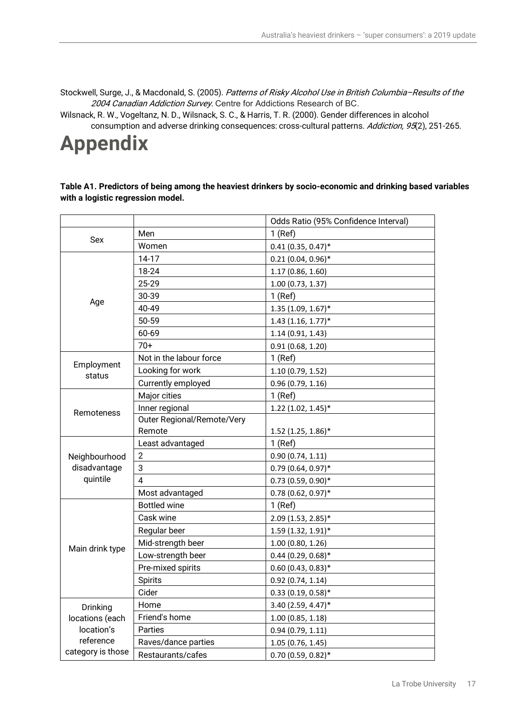Stockwell, Surge, J., & Macdonald, S. (2005). Patterns of Risky Alcohol Use in British Columbia–Results of the 2004 Canadian Addiction Survey. Centre for Addictions Research of BC.

Wilsnack, R. W., Vogeltanz, N. D., Wilsnack, S. C., & Harris, T. R. (2000). Gender differences in alcohol consumption and adverse drinking consequences: cross-cultural patterns. Addiction, 95(2), 251-265.

## **Appendix**

#### **Table A1. Predictors of being among the heaviest drinkers by socio-economic and drinking based variables with a logistic regression model.**

|                      |                            | Odds Ratio (95% Confidence Interval) |
|----------------------|----------------------------|--------------------------------------|
| Sex                  | Men                        | $1$ (Ref)                            |
|                      | Women                      | $0.41(0.35, 0.47)^*$                 |
|                      | $14-17$                    | $0.21(0.04, 0.96)$ *                 |
|                      | 18-24                      | 1.17 (0.86, 1.60)                    |
|                      | 25-29                      | 1.00 (0.73, 1.37)                    |
|                      | 30-39                      | $1$ (Ref)                            |
| Age                  | 40-49                      | $1.35(1.09, 1.67)^*$                 |
|                      | 50-59                      | $1.43$ (1.16, 1.77)*                 |
|                      | 60-69                      | 1.14(0.91, 1.43)                     |
|                      | $70+$                      | 0.91(0.68, 1.20)                     |
|                      | Not in the labour force    | $1$ (Ref)                            |
| Employment<br>status | Looking for work           | 1.10(0.79, 1.52)                     |
|                      | Currently employed         | 0.96(0.79, 1.16)                     |
|                      | Major cities               | $1$ (Ref)                            |
| Remoteness           | Inner regional             | $1.22$ (1.02, 1.45)*                 |
|                      | Outer Regional/Remote/Very |                                      |
|                      | Remote                     | $1.52$ (1.25, 1.86)*                 |
|                      | Least advantaged           | $1$ (Ref)                            |
| Neighbourhood        | $\overline{2}$             | 0.90(0.74, 1.11)                     |
| disadvantage         | 3                          | $0.79(0.64, 0.97)$ *                 |
| quintile             | 4                          | $0.73$ (0.59, 0.90)*                 |
|                      | Most advantaged            | $0.78(0.62, 0.97)^*$                 |
|                      | <b>Bottled wine</b>        | $1$ (Ref)                            |
|                      | Cask wine                  | 2.09 (1.53, 2.85)*                   |
|                      | Regular beer               | 1.59 (1.32, 1.91)*                   |
| Main drink type      | Mid-strength beer          | 1.00(0.80, 1.26)                     |
|                      | Low-strength beer          | $0.44$ (0.29, 0.68)*                 |
|                      | Pre-mixed spirits          | $0.60(0.43, 0.83)$ *                 |
|                      | Spirits                    | 0.92(0.74, 1.14)                     |
|                      | Cider                      | $0.33(0.19, 0.58)$ *                 |
| Drinking             | Home                       | 3.40 (2.59, 4.47)*                   |
| locations (each      | Friend's home              | 1.00(0.85, 1.18)                     |
| location's           | Parties                    | 0.94(0.79, 1.11)                     |
| reference            | Raves/dance parties        | 1.05 (0.76, 1.45)                    |
| category is those    | Restaurants/cafes          | $0.70(0.59, 0.82)$ *                 |